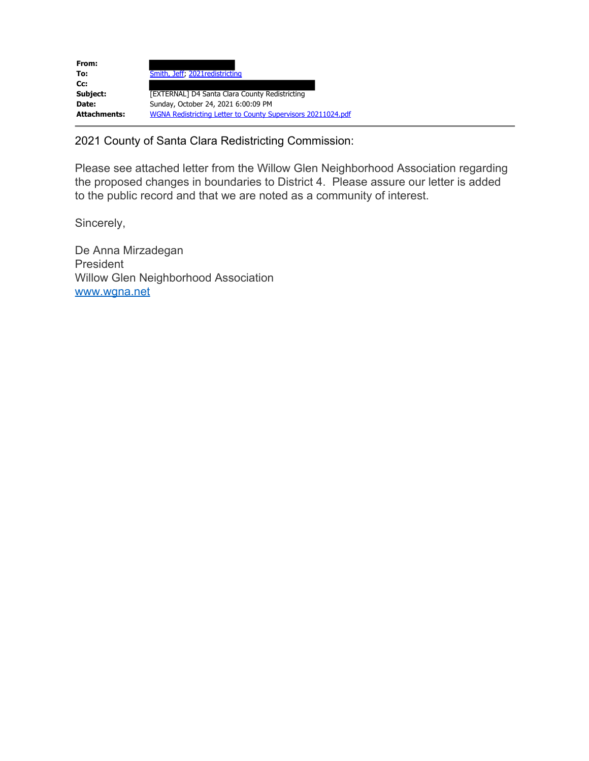| From:               |                                                              |
|---------------------|--------------------------------------------------------------|
| To:                 | Smith, Jeff, 2021 redistricting                              |
| Cc:                 |                                                              |
| Subject:            | [EXTERNAL] D4 Santa Clara County Redistricting               |
| Date:               | Sunday, October 24, 2021 6:00:09 PM                          |
| <b>Attachments:</b> | WGNA Redistricting Letter to County Supervisors 20211024.pdf |

2021 County of Santa Clara Redistricting Commission:

Please see attached letter from the Willow Glen Neighborhood Association regarding the proposed changes in boundaries to District 4. Please assure our letter is added to the public record and that we are noted as a community of interest.

Sincerely,

De Anna Mirzadegan President Willow Glen Neighborhood Association www.wgna.net